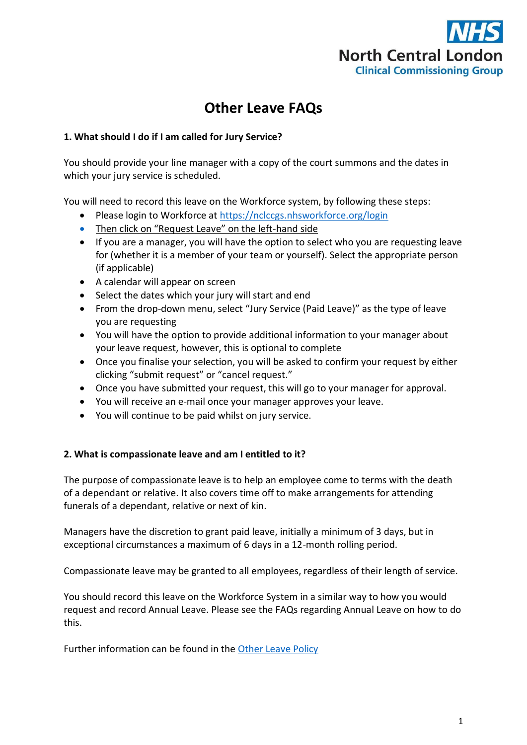

# **Other Leave FAQs**

## **1. What should I do if I am called for Jury Service?**

You should provide your line manager with a copy of the court summons and the dates in which your jury service is scheduled.

You will need to record this leave on the Workforce system, by following these steps:

- Please login to Workforce at<https://nclccgs.nhsworkforce.org/login>
- Then click on "Request Leave" on the left-hand side
- If you are a manager, you will have the option to select who you are requesting leave for (whether it is a member of your team or yourself). Select the appropriate person (if applicable)
- A calendar will appear on screen
- Select the dates which your jury will start and end
- From the drop-down menu, select "Jury Service (Paid Leave)" as the type of leave you are requesting
- You will have the option to provide additional information to your manager about your leave request, however, this is optional to complete
- Once you finalise your selection, you will be asked to confirm your request by either clicking "submit request" or "cancel request."
- Once you have submitted your request, this will go to your manager for approval.
- You will receive an e-mail once your manager approves your leave.
- You will continue to be paid whilst on jury service.

## **2. What is compassionate leave and am I entitled to it?**

The purpose of compassionate leave is to help an employee come to terms with the death of a dependant or relative. It also covers time off to make arrangements for attending funerals of a dependant, relative or next of kin.

Managers have the discretion to grant paid leave, initially a minimum of 3 days, but in exceptional circumstances a maximum of 6 days in a 12-month rolling period.

Compassionate leave may be granted to all employees, regardless of their length of service.

You should record this leave on the Workforce System in a similar way to how you would request and record Annual Leave. Please see the FAQs regarding Annual Leave on how to do this.

Further information can be found in the [Other Leave Policy](https://intranet.northcentrallondonccg.nhs.uk/policies/policies.htm)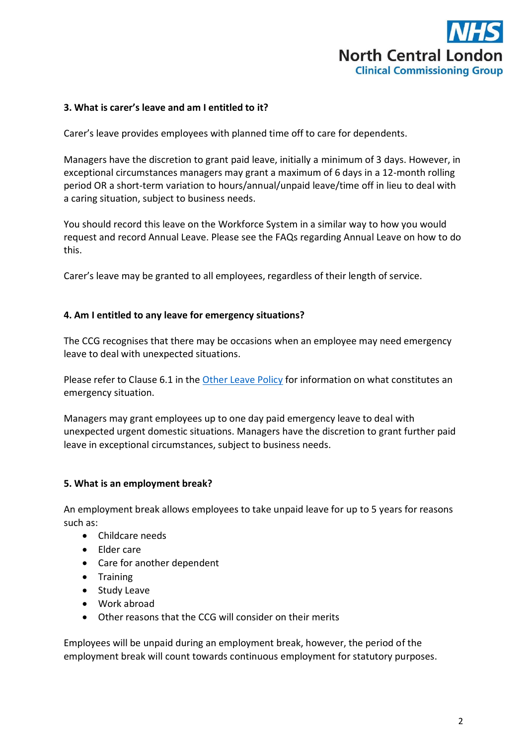

## **3. What is carer's leave and am I entitled to it?**

Carer's leave provides employees with planned time off to care for dependents.

Managers have the discretion to grant paid leave, initially a minimum of 3 days. However, in exceptional circumstances managers may grant a maximum of 6 days in a 12-month rolling period OR a short-term variation to hours/annual/unpaid leave/time off in lieu to deal with a caring situation, subject to business needs.

You should record this leave on the Workforce System in a similar way to how you would request and record Annual Leave. Please see the FAQs regarding Annual Leave on how to do this.

Carer's leave may be granted to all employees, regardless of their length of service.

#### **4. Am I entitled to any leave for emergency situations?**

The CCG recognises that there may be occasions when an employee may need emergency leave to deal with unexpected situations.

Please refer to Clause 6.1 in the [Other Leave Policy](https://intranet.northcentrallondonccg.nhs.uk/policies/policies.htm) for information on what constitutes an emergency situation.

Managers may grant employees up to one day paid emergency leave to deal with unexpected urgent domestic situations. Managers have the discretion to grant further paid leave in exceptional circumstances, subject to business needs.

#### **5. What is an employment break?**

An employment break allows employees to take unpaid leave for up to 5 years for reasons such as:

- Childcare needs
- Elder care
- Care for another dependent
- Training
- Study Leave
- Work abroad
- Other reasons that the CCG will consider on their merits

Employees will be unpaid during an employment break, however, the period of the employment break will count towards continuous employment for statutory purposes.